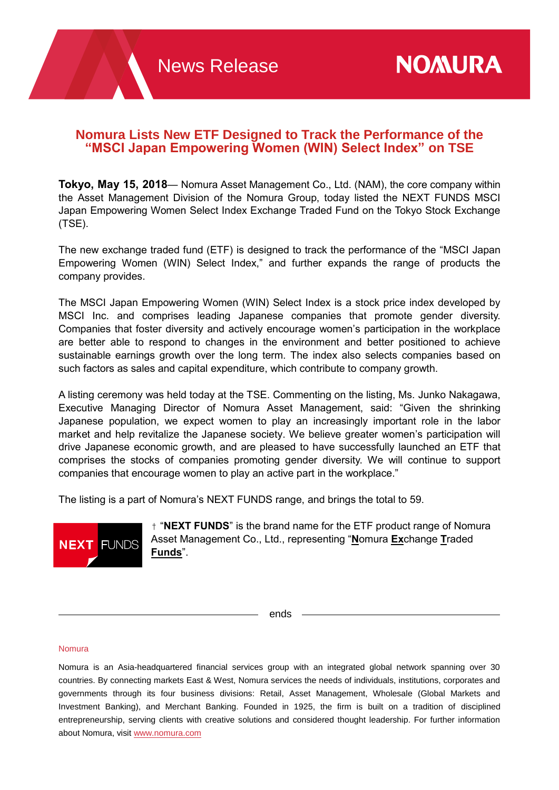# **Nomura Lists New ETF Designed to Track the Performance of the "MSCI Japan Empowering Women (WIN) Select Index" on TSE**

**Tokyo, May 15, 2018**— Nomura Asset Management Co., Ltd. (NAM), the core company within the Asset Management Division of the Nomura Group, today listed the NEXT FUNDS MSCI Japan Empowering Women Select Index Exchange Traded Fund on the Tokyo Stock Exchange (TSE).

The new exchange traded fund (ETF) is designed to track the performance of the "MSCI Japan Empowering Women (WIN) Select Index," and further expands the range of products the company provides.

The MSCI Japan Empowering Women (WIN) Select Index is a stock price index developed by MSCI Inc. and comprises leading Japanese companies that promote gender diversity. Companies that foster diversity and actively encourage women's participation in the workplace are better able to respond to changes in the environment and better positioned to achieve sustainable earnings growth over the long term. The index also selects companies based on such factors as sales and capital expenditure, which contribute to company growth.

A listing ceremony was held today at the TSE. Commenting on the listing, Ms. Junko Nakagawa, Executive Managing Director of Nomura Asset Management, said: "Given the shrinking Japanese population, we expect women to play an increasingly important role in the labor market and help revitalize the Japanese society. We believe greater women's participation will drive Japanese economic growth, and are pleased to have successfully launched an ETF that comprises the stocks of companies promoting gender diversity. We will continue to support companies that encourage women to play an active part in the workplace."

The listing is a part of Nomura's NEXT FUNDS range, and brings the total to 59.



† "**NEXT FUNDS**" is the brand name for the ETF product range of Nomura Asset Management Co., Ltd., representing "**N**omura **Ex**change **T**raded **Funds**".

ends

#### Nomura

Nomura is an Asia-headquartered financial services group with an integrated global network spanning over 30 countries. By connecting markets East & West, Nomura services the needs of individuals, institutions, corporates and governments through its four business divisions: Retail, Asset Management, Wholesale (Global Markets and Investment Banking), and Merchant Banking. Founded in 1925, the firm is built on a tradition of disciplined entrepreneurship, serving clients with creative solutions and considered thought leadership. For further information about Nomura, visit [www.nomura.com](http://www.nomura.com/)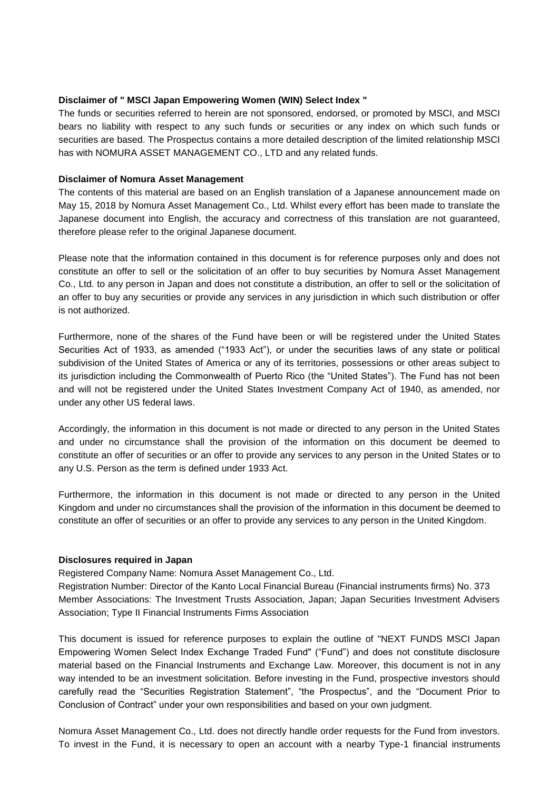#### **Disclaimer of " MSCI Japan Empowering Women (WIN) Select Index "**

The funds or securities referred to herein are not sponsored, endorsed, or promoted by MSCI, and MSCI bears no liability with respect to any such funds or securities or any index on which such funds or securities are based. The Prospectus contains a more detailed description of the limited relationship MSCI has with NOMURA ASSET MANAGEMENT CO., LTD and any related funds.

#### **Disclaimer of Nomura Asset Management**

The contents of this material are based on an English translation of a Japanese announcement made on May 15, 2018 by Nomura Asset Management Co., Ltd. Whilst every effort has been made to translate the Japanese document into English, the accuracy and correctness of this translation are not guaranteed, therefore please refer to the original Japanese document.

Please note that the information contained in this document is for reference purposes only and does not constitute an offer to sell or the solicitation of an offer to buy securities by Nomura Asset Management Co., Ltd. to any person in Japan and does not constitute a distribution, an offer to sell or the solicitation of an offer to buy any securities or provide any services in any jurisdiction in which such distribution or offer is not authorized.

Furthermore, none of the shares of the Fund have been or will be registered under the United States Securities Act of 1933, as amended ("1933 Act"), or under the securities laws of any state or political subdivision of the United States of America or any of its territories, possessions or other areas subject to its jurisdiction including the Commonwealth of Puerto Rico (the "United States"). The Fund has not been and will not be registered under the United States Investment Company Act of 1940, as amended, nor under any other US federal laws.

Accordingly, the information in this document is not made or directed to any person in the United States and under no circumstance shall the provision of the information on this document be deemed to constitute an offer of securities or an offer to provide any services to any person in the United States or to any U.S. Person as the term is defined under 1933 Act.

Furthermore, the information in this document is not made or directed to any person in the United Kingdom and under no circumstances shall the provision of the information in this document be deemed to constitute an offer of securities or an offer to provide any services to any person in the United Kingdom.

# **Disclosures required in Japan**

Registered Company Name: Nomura Asset Management Co., Ltd.

Registration Number: Director of the Kanto Local Financial Bureau (Financial instruments firms) No. 373 Member Associations: The Investment Trusts Association, Japan; Japan Securities Investment Advisers Association; Type II Financial Instruments Firms Association

This document is issued for reference purposes to explain the outline of "NEXT FUNDS MSCI Japan Empowering Women Select Index Exchange Traded Fund" ("Fund") and does not constitute disclosure material based on the Financial Instruments and Exchange Law. Moreover, this document is not in any way intended to be an investment solicitation. Before investing in the Fund, prospective investors should carefully read the "Securities Registration Statement", "the Prospectus", and the "Document Prior to Conclusion of Contract" under your own responsibilities and based on your own judgment.

Nomura Asset Management Co., Ltd. does not directly handle order requests for the Fund from investors. To invest in the Fund, it is necessary to open an account with a nearby Type-1 financial instruments